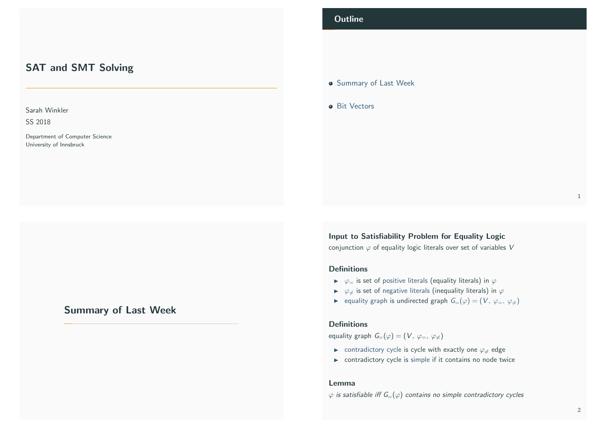# SAT and SMT Solving

Sarah Winkler

SS 2018

Department of Computer Science University of Innsbruck

# <span id="page-0-0"></span>[Summary of Last W](#page-0-0)eek

## **Outline**

### **• Summary of Last Week**

**•** Bit Vectors

Input to Satisfiability Problem for Equality Logic

conjunction  $\varphi$  of equality logic literals over set of variables V

### Definitions

- $\triangleright \varphi =$  is set of positive literals (equality literals) in  $\varphi$
- $\triangleright \varphi_{\neq}$  is set of negative literals (inequality literals) in  $\varphi$
- ► equality graph is undirected graph  $G=(\varphi)=(V, \varphi_-, \varphi_+)$

#### **Definitions**

equality graph  $G=(\varphi)=(V, \varphi_{=}, \varphi_{\neq})$ 

- $\triangleright$  contradictory cycle is cycle with exactly one  $\varphi$  edge
- $\triangleright$  contradictory cycle is simple if it contains no node twice

#### Lemma

 $\varphi$  is satisfiable iff  $G=(\varphi)$  contains no simple contradictory cycles

1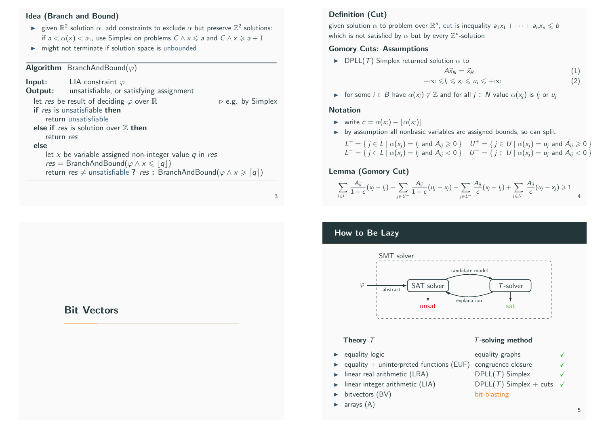### Idea (Branch and Bound)

- ightharpoon  $\mathbb{R}^2$  solution  $\alpha$ , add constraints to exclude  $\alpha$  but preserve  $\mathbb{Z}^2$  solutions: if  $a < \alpha(x) < a_1$ , use Simplex on problems  $C \wedge x \leq a$  and  $C \wedge x \geq a+1$
- $\blacktriangleright$  might not terminate if solution space is unbounded

### **Algorithm** BranchAndBound( $\varphi$ )

**Input:** LIA constraint  $\varphi$ Output: unsatisfiable, or satisfying assignment let res be result of deciding  $\varphi$  over  $\mathbb R$  .  $\triangleright$  e.g. by Simplex if res is unsatisfiable then return unsatisfiable else if res is solution over  $Z$  then return res else let  $x$  be variable assigned non-integer value  $q$  in res  $res = BranchAndBound(\varphi \wedge x \leqslant |q|)$ return res  $\neq$  unsatisfiable ? res : BranchAndBound( $\varphi \wedge x \geq \lceil q \rceil$ )

3

# <span id="page-1-0"></span>[Bit Vec](#page-1-0)tors

### Definition (Cut)

given solution  $\alpha$  to problem over  $\mathbb{R}^n$ , cut is inequality  $a_1x_1 + \cdots + a_nx_n \leqslant b$ which is not satisfied by  $\alpha$  but by every  $\mathbb{Z}^n$ -solution

### Gomory Cuts: Assumptions

 $\blacktriangleright$  DPLL(T) Simplex returned solution  $\alpha$  to

$$
A\vec{x}_N = \vec{x}_B \tag{1}
$$

$$
-\infty \leq l_i \leq x_i \leq u_i \leq +\infty
$$
 (2)

**In** for some  $i \in B$  have  $\alpha(x_i) \notin \mathbb{Z}$  and for all  $i \in N$  value  $\alpha(x_i)$  is  $l_i$  or  $u_i$ 

#### **Notation**

- $\triangleright$  write  $c = \alpha(x_i) |\alpha(x_i)|$
- $\rightarrow$  by assumption all nonbasic variables are assigned bounds, so can split

$$
L^+=\{j\in L \mid \alpha(x_j)=l_j \text{ and } A_{ij}\geq 0\} \quad U^+=\{j\in U \mid \alpha(x_j)=u_j \text{ and } A_{ij}\geq 0\}
$$
  

$$
L^-=\{j\in L \mid \alpha(x_j)=l_j \text{ and } A_{ij}<0\} \quad U^-=\{j\in U \mid \alpha(x_j)=u_j \text{ and } A_{ij}<0\}
$$

### Lemma (Gomory Cut)

$$
\sum_{j\in L^+}\frac{A_{ij}}{1-c}(x_j-l_j)-\sum_{j\in U^-}\frac{A_{ij}}{1-c}(u_j-x_j)-\sum_{j\in L^-}\frac{A_{ij}}{c}(x_j-l_j)+\sum_{j\in U^+}\frac{A_{ij}}{c}(u_j-x_j)\geq 1
$$

## How to Be Lazy



- $\triangleright$  equality logic equality graphs  $\checkmark$
- equality  $+$  uninterpreted functions (EUF) congruence closure
- $\triangleright$  linear real arithmetic (LRA) DPLL(T) Simplex  $\checkmark$
- inear integer arithmetic (LIA) DPLL(T) Simplex + cuts  $\checkmark$
- bitvectors (BV) bit-blasting
- $\blacktriangleright$  arrays  $(A)$

5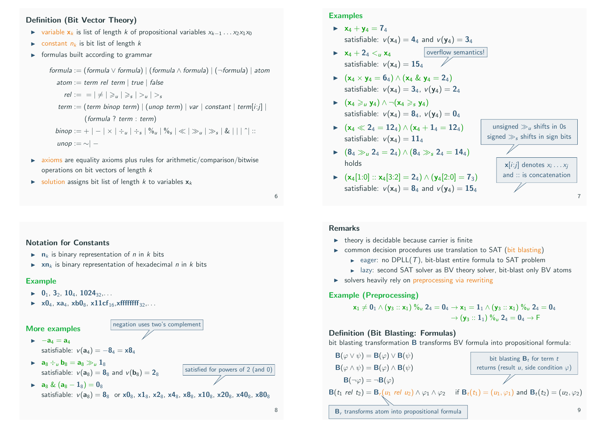### Definition (Bit Vector Theory)

- $\triangleright$  variable  $x_k$  is list of length k of propositional variables  $x_{k-1} \dots x_2 x_1 x_0$
- $\triangleright$  constant  $n_k$  is bit list of length k
- $\triangleright$  formulas built according to grammar

formula := (formula  $\vee$  formula) | (formula  $\wedge$  formula) | (¬formula) | atom atom := term rel term | true | false  $rel := \vert \neq \vert \geq u \vert \geq s \vert > u \vert > s$ term := (term binop term) | (unop term) | var | constant | term[i:j] | (formula ? term : term)  $\text{binop} := + \, \vert - \vert \times \vert \div_u \vert \div_s \,\vert \, \%$ u $\vert \, \%$ s $\vert \ll \vert \gg_u \vert \gg_s \vert \, \& \, \vert \, \vert \, \uparrow \, \, \vert \, \, \therefore$ unop : $=\sim$ | −

- $\triangleright$  axioms are equality axioms plus rules for arithmetic/comparison/bitwise operations on bit vectors of length k
- $\triangleright$  solution assigns bit list of length k to variables  $x_k$

6

#### Notation for Constants

- $\triangleright$  n<sub>k</sub> is binary representation of *n* in *k* bits
- $\triangleright$  xn<sub>k</sub> is binary representation of hexadecimal *n* in *k* bits

#### Example

- $\blacktriangleright$  0<sub>1</sub>, 3<sub>2</sub>, 10<sub>4</sub>, 1024<sub>32</sub>,...
- $\triangleright$  x0<sub>4</sub>, xa<sub>4</sub>, xb0<sub>8</sub>, x11cf<sub>16</sub>, xfffffffff<sub>32</sub>,...

#### More examples

 $\triangleright$  a<sub>8</sub> & (a<sub>8</sub> - 1<sub>8</sub>)

 $\rightarrow$   $-a_4 = a_4$ 

satisfiable:  $v(a_4) = -8_4 = x8_4$ 

**a**<sub>8</sub>  $\div u$  **b**<sub>8</sub> = **a**<sub>8</sub>  $\gg u$  **1**<sub>8</sub> satisfiable:  $v(a_8) = 8$ <sub>8</sub> and  $v(b_8) = 2$ <sub>9</sub>

$$
y_0 - \mathbf{e}_8 \sin \theta \, \mathbf{v}(\mathbf{b}_8) - 28
$$

satisfiable:  $v(a_8) = 8_8$  or  $x0_8$ ,  $x1_8$ ,  $x2_8$ ,  $x4_8$ ,  $x8_8$ ,  $x10_8$ ,  $x20_8$ ,  $x40_8$ ,  $x80_8$ 

negation uses two's complement

### **Examples**

- $\triangleright$   $x_4 + y_4 = 7_4$ satisfiable:  $v(\mathbf{x}_4) = 4_4$  and  $v(\mathbf{v}_4) = 3_4$
- overflow semantics!  $\triangleright$   $x_4 + 2_4 < i$ ,  $x_4$ satisfiable:  $v(\mathbf{x}_4) = \mathbf{15}_4$
- $\triangleright$   $(x_4 \times y_4 = 6_4) \wedge (x_4 \& y_4 = 2_4)$ satisfiable:  $v(\mathbf{x}_4) = 3_4$ ,  $v(\mathbf{y}_4) = 2_4$
- $\blacktriangleright$   $(x_4 \geq u_1 y_4) \wedge \neg (x_4 \geqslant_S y_4)$ satisfiable:  $v(\mathbf{x}_4) = \mathbf{8}_4$ ,  $v(\mathbf{y}_4) = \mathbf{0}_4$
- $\triangleright$  (x<sub>4</sub>  $\ll$  2<sub>4</sub> = 12<sub>4</sub>)  $\wedge$  (x<sub>4</sub> + 1<sub>4</sub> = 12<sub>4</sub>) satisfiable:  $v(\mathbf{x}_4) = 11_4$
- $\triangleright$  (8<sub>4</sub>  $\gg_u 2_4 = 2_4$ )  $\wedge$  (8<sub>4</sub>  $\gg_s 2_4 = 14_4$ ) holds
- $\triangleright$  (x<sub>4</sub>[1:0] :: x<sub>4</sub>[3:2] = 2<sub>4</sub>) ∧ (y<sub>4</sub>[2:0] = 7<sub>3</sub>) satisfiable:  $v(x_4) = 8_4$  and  $v(y_4) = 15_4$

unsigned  $\gg u$ , shifts in 0s signed  $\gg$ <sub>s</sub> shifts in sign bits  $\mathsf{x}[i\..j]$  denotes  $x_i \ldots x_j$ and :: is concatenation

7

#### Remarks

- $\blacktriangleright$  theory is decidable because carrier is finite
- $\triangleright$  common decision procedures use translation to SAT (bit blasting)
	- eager: no DPLL(T), bit-blast entire formula to SAT problem
	- $\blacktriangleright$  lazy: second SAT solver as BV theory solver, bit-blast only BV atoms
- $\triangleright$  solvers heavily rely on preprocessing via rewriting

#### Example (Preprocessing)

x<sup>1</sup> 6= 0<sup>1</sup> ∧ (y<sup>3</sup> :: x1) %<sup>u</sup> 2<sup>4</sup> = 0<sup>4</sup> → x<sup>1</sup> = 1<sup>1</sup> ∧ (y<sup>3</sup> :: x1) %<sup>u</sup> 2<sup>4</sup> = 0<sup>4</sup> → (y<sup>3</sup> :: 11) %<sup>u</sup> 2<sup>4</sup> = 0<sup>4</sup> → F

#### Definition (Bit Blasting: Formulas)

bit blasting transformation B transforms BV formula into propositional formula:

| $B(\varphi \vee \psi) = B(\varphi) \vee B(\psi)$                                                                                                           | bit blasting $B_t$ for term $t$                  |
|------------------------------------------------------------------------------------------------------------------------------------------------------------|--------------------------------------------------|
| $B(\varphi \wedge \psi) = B(\varphi) \wedge B(\psi)$                                                                                                       | returns (result $u$ , side condition $\varphi$ ) |
| $B(\neg \varphi) = \neg B(\varphi)$                                                                                                                        | returns (result $u$ , side condition $\varphi$ ) |
| $B(t_1 \text{ rel } t_2) = B_r(u_1 \text{ rel } u_2) \wedge \varphi_1 \wedge \varphi_2$ if $B_t(t_1) = (u_1, \varphi_1)$ and $B_t(t_2) = (u_2, \varphi_2)$ |                                                  |
| $B_r$ transforms atom into propositional formula                                                                                                           | 9                                                |

satisfied for powers of 2 (and 0)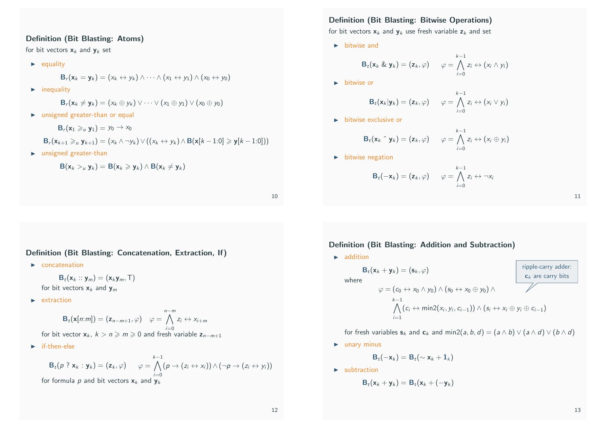### Definition (Bit Blasting: Atoms)

for bit vectors  $x_k$  and  $y_k$  set

 $\blacktriangleright$  equality

$$
\mathbf{B}_r(\mathbf{x}_k=\mathbf{y}_k)=(x_k\leftrightarrow y_k)\wedge\cdots\wedge(x_1\leftrightarrow y_1)\wedge(x_0\leftrightarrow y_0)
$$

 $\blacktriangleright$  inequality

$$
\mathbf{B}_r(\mathbf{x}_k \neq \mathbf{y}_k) = (x_k \oplus y_k) \vee \cdots \vee (x_1 \oplus y_1) \vee (x_0 \oplus y_0)
$$

 $\blacktriangleright$  unsigned greater-than or equal

 $\mathbf{B}_r(\mathbf{x}_1 \geq u \mathbf{y}_1) = y_0 \to x_0$ 

$$
\mathbf{B}_r(\mathbf{x}_{k+1} \geq u \mathbf{y}_{k+1}) = (x_k \wedge \neg y_k) \vee ((x_k \leftrightarrow y_k) \wedge \mathbf{B}(\mathbf{x}[k-1:0] \geq \mathbf{y}[k-1:0]))
$$

 $\blacktriangleright$  unsigned greater-than

$$
B(\mathbf{x}_k >_u \mathbf{y}_k) = B(\mathbf{x}_k \geqslant \mathbf{y}_k) \wedge B(\mathbf{x}_k \neq \mathbf{y}_k)
$$

10

### Definition (Bit Blasting: Concatenation, Extraction, If)

 $\blacktriangleright$  concatenation

 $\mathbf{B}_t(\mathbf{x}_k::\mathbf{y}_m) = (\mathbf{x}_k \mathbf{y}_m, \mathsf{T})$ 

for bit vectors  $x_k$  and  $y_m$ 

 $\blacktriangleright$  extraction

$$
\mathbf{B}_{t}(\mathbf{x}[n:m]) = (\mathbf{z}_{n-m+1}, \varphi) \quad \varphi = \bigwedge_{i=0}^{n-m} z_{i} \leftrightarrow x_{i+m}
$$
\nfor bit vector  $\mathbf{x}_{k}$ ,  $k > n \geq m \geq 0$  and fresh variable  $\mathbf{z}_{n-m+1}$ .

 $\blacktriangleright$  if-then-else

$$
\mathbf{B}_t(p \; ? \; \mathbf{x}_k : \mathbf{y}_k) = (\mathbf{z}_k, \varphi) \qquad \varphi = \bigwedge_{i=0}^{k-1} (p \to (z_i \leftrightarrow x_i)) \land (\neg p \to (z_i \leftrightarrow y_i))
$$
  
for formula  $p$  and bit vectors  $\mathbf{x}_k$  and  $\mathbf{y}_k$ 

### Definition (Bit Blasting: Bitwise Operations)

for bit vectors  $x_k$  and  $y_k$  use fresh variable  $z_k$  and set

 $\blacktriangleright$  bitwise and

$$
\mathbf{B}_t(\mathbf{x}_k \& \mathbf{y}_k) = (\mathbf{z}_k, \varphi) \qquad \varphi = \bigwedge_{i=0}^{k-1} z_i \leftrightarrow (x_i \wedge y_i)
$$

 $\blacktriangleright$  bitwise or

$$
\mathbf{B}_t(\mathbf{x}_k|\mathbf{y}_k)=(\mathbf{z}_k,\varphi) \qquad \varphi=\bigwedge_{i=0}^{k-1} z_i \leftrightarrow (x_i\vee y_i)
$$

 $\blacktriangleright$  bitwise exclusive or

$$
\mathbf{B}_t(\mathbf{x}_k \uparrow \mathbf{y}_k) = (\mathbf{z}_k, \varphi) \qquad \varphi = \bigwedge_{i=0}^{k-1} z_i \leftrightarrow (x_i \oplus y_i)
$$

 $\blacktriangleright$  bitwise negation

$$
\mathbf{B}_t(-\mathbf{x}_k)=(\mathbf{z}_k,\varphi) \qquad \varphi=\bigwedge_{i=0}^{k-1} z_i \leftrightarrow \neg x_i
$$

11

### Definition (Bit Blasting: Addition and Subtraction)

 $\blacktriangleright$  addition

$$
\mathbf{B}_{t}(\mathbf{x}_{k} + \mathbf{y}_{k}) = (\mathbf{s}_{k}, \varphi)
$$
\nwhere\n
$$
\varphi = (c_{0} \leftrightarrow x_{0} \land y_{0}) \land (s_{0} \leftrightarrow x_{0} \oplus y_{0}) \land \varphi = (c_{i} \leftrightarrow x_{i} \oplus y_{i}) \land \varphi = (c_{i} \leftrightarrow x_{i} \oplus y_{i} \oplus z_{i-1})
$$
\n
$$
\bigwedge_{i=1}^{k-1} (c_{i} \leftrightarrow \min(2(x_{i}, y_{i}, c_{i-1})) \land (s_{i} \leftrightarrow x_{i} \oplus y_{i} \oplus c_{i-1})
$$

for fresh variables  $s_k$  and  $c_k$  and min2(a, b, d) = (a  $\wedge$  b)  $\vee$  (a  $\wedge$  d)  $\vee$  (b  $\wedge$  d)

 $\blacktriangleright$  unary minus

$$
\mathbf{B}_t(-\mathbf{x}_k) = \mathbf{B}_t(\sim \mathbf{x}_k + \mathbf{1}_k)
$$

 $\blacktriangleright$  subtraction

$$
\mathbf{B}_t(\mathbf{x}_k+\mathbf{y}_k)=\mathbf{B}_t(\mathbf{x}_k+(-\mathbf{y}_k)
$$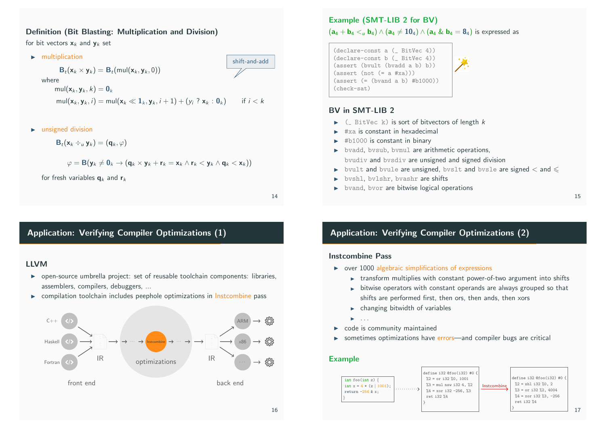### Definition (Bit Blasting: Multiplication and Division)

for bit vectors  $x_k$  and  $y_k$  set



 $\blacktriangleright$  unsigned division

$$
\mathbf{B}_t(\mathbf{x}_k \div_u \mathbf{y}_k) = (\mathbf{q}_k, \varphi)
$$

$$
\varphi = B(\mathbf{y}_k \neq \mathbf{0}_k \rightarrow (\mathbf{q}_k \times \mathbf{y}_k + \mathbf{r}_k = \mathbf{x}_k \wedge \mathbf{r}_k < \mathbf{y}_k \wedge \mathbf{q}_k < \mathbf{x}_k))
$$

for fresh variables  $q_k$  and  $r_k$ 

14

# Application: Verifying Compiler Optimizations (1)

### LLVM

- $\triangleright$  open-source umbrella project[: set o](https://rise4fun.com/Z3/JKuT8)f reusable toolchain components: libraries, assemblers, compilers, debuggers, ...
- $\triangleright$  compilation toolchain includes peephole optimizations in Instcombine pass



# Example (SMT-LIB 2 for BV)  $(a_4 + b_4 < u_1 b_4) \wedge (a_4 \neq 10_4) \wedge (a_4 \& b_4 = 8_4)$  is expressed as

(declare-const a (\_ BitVec 4)) (declare-const b (\_ BitVec 4)) (assert (bvult (bvadd a b) b))  $(\text{assert} (\text{not } (= a \# xa)))$  $(\text{assert } (= (\text{bvand a b}) \#b1000))$ (check-sat)

### BV in SMT-LIB 2

- $\triangleright$  ( BitVec k) is sort of bitvectors of length k
- $\blacktriangleright$  #xa is constant in hexadecimal
- $\blacktriangleright$  #b1000 is constant in binary
- $\blacktriangleright$  bvadd, bvsub, bvmul are arithmetic operations, bvudiv and bvsdiv are unsigned and signed division
- $\triangleright$  bvult and bvule are unsigned, bvslt and bvsle are signed  $\lt$  and  $\le$
- $\triangleright$  bvshl, bvlshr, bvashr are shifts
- $\triangleright$  bvand, bvor are bitwise logical operations

# Application: Verifying Compiler Optimizations (2)

#### Instcombine Pass

- $\triangleright$  over 1000 algebraic simplifications of expressions
	- $\triangleright$  transform multiplies with constant power-of-two argument into shifts
	- $\rightarrow$  bitwise operators with constant operands are always grouped so that shifts are performed first, then ors, then ands, then xors
	- $\blacktriangleright$  changing bitwidth of variables
	- $\blacktriangleright$  . . . .
- $\triangleright$  code is community maintained
- $\triangleright$  sometimes optimizations have errors—and compiler bugs are critical

### Example